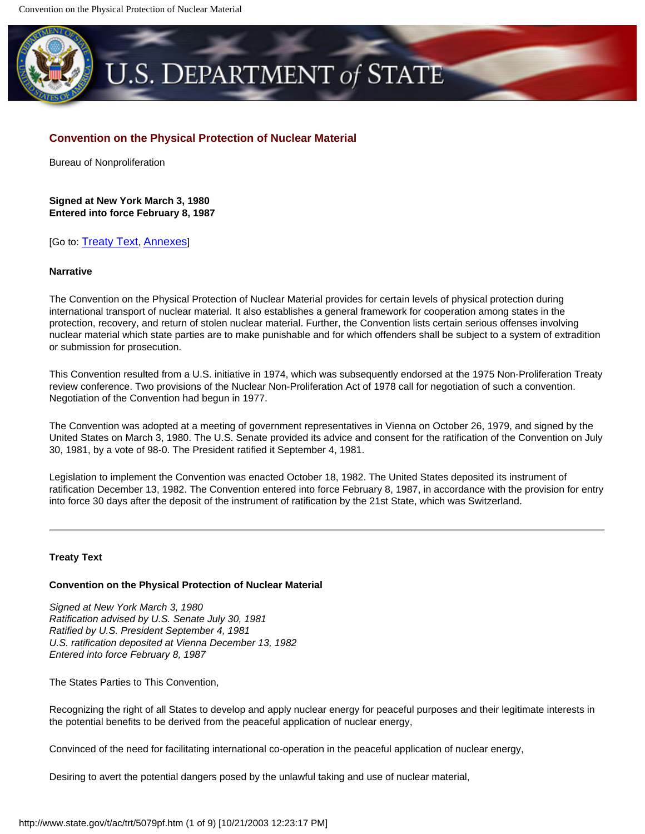

# **Convention on the Physical Protection of Nuclear Material**

Bureau of Nonproliferation

**Signed at New York March 3, 1980 Entered into force February 8, 1987**

[Go to: **[Treaty Text](http://www.state.gov/t/ac/trt/5079.htm#treaty), [Annexes\]](http://www.state.gov/t/ac/trt/5079.htm#annexes)** 

## **Narrative**

The Convention on the Physical Protection of Nuclear Material provides for certain levels of physical protection during international transport of nuclear material. It also establishes a general framework for cooperation among states in the protection, recovery, and return of stolen nuclear material. Further, the Convention lists certain serious offenses involving nuclear material which state parties are to make punishable and for which offenders shall be subject to a system of extradition or submission for prosecution.

This Convention resulted from a U.S. initiative in 1974, which was subsequently endorsed at the 1975 Non-Proliferation Treaty review conference. Two provisions of the Nuclear Non-Proliferation Act of 1978 call for negotiation of such a convention. Negotiation of the Convention had begun in 1977.

The Convention was adopted at a meeting of government representatives in Vienna on October 26, 1979, and signed by the United States on March 3, 1980. The U.S. Senate provided its advice and consent for the ratification of the Convention on July 30, 1981, by a vote of 98-0. The President ratified it September 4, 1981.

Legislation to implement the Convention was enacted October 18, 1982. The United States deposited its instrument of ratification December 13, 1982. The Convention entered into force February 8, 1987, in accordance with the provision for entry into force 30 days after the deposit of the instrument of ratification by the 21st State, which was Switzerland.

## **Treaty Text**

## **Convention on the Physical Protection of Nuclear Material**

*Signed at New York March 3, 1980 Ratification advised by U.S. Senate July 30, 1981 Ratified by U.S. President September 4, 1981 U.S. ratification deposited at Vienna December 13, 1982 Entered into force February 8, 1987*

The States Parties to This Convention,

Recognizing the right of all States to develop and apply nuclear energy for peaceful purposes and their legitimate interests in the potential benefits to be derived from the peaceful application of nuclear energy,

Convinced of the need for facilitating international co-operation in the peaceful application of nuclear energy,

Desiring to avert the potential dangers posed by the unlawful taking and use of nuclear material,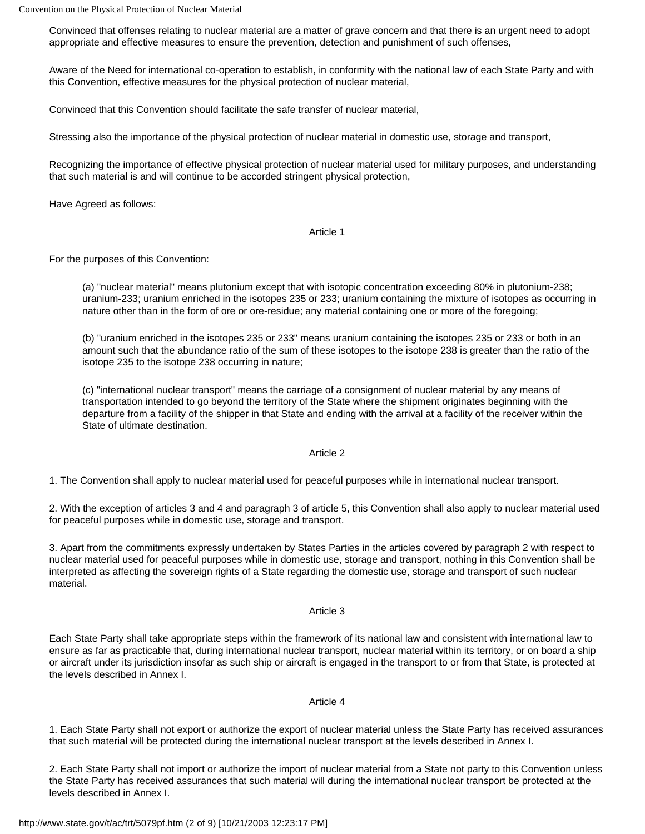Convinced that offenses relating to nuclear material are a matter of grave concern and that there is an urgent need to adopt appropriate and effective measures to ensure the prevention, detection and punishment of such offenses,

Aware of the Need for international co-operation to establish, in conformity with the national law of each State Party and with this Convention, effective measures for the physical protection of nuclear material,

Convinced that this Convention should facilitate the safe transfer of nuclear material,

Stressing also the importance of the physical protection of nuclear material in domestic use, storage and transport,

Recognizing the importance of effective physical protection of nuclear material used for military purposes, and understanding that such material is and will continue to be accorded stringent physical protection,

Have Agreed as follows:

Article 1

For the purposes of this Convention:

(a) "nuclear material" means plutonium except that with isotopic concentration exceeding 80% in plutonium-238; uranium-233; uranium enriched in the isotopes 235 or 233; uranium containing the mixture of isotopes as occurring in nature other than in the form of ore or ore-residue; any material containing one or more of the foregoing;

(b) "uranium enriched in the isotopes 235 or 233" means uranium containing the isotopes 235 or 233 or both in an amount such that the abundance ratio of the sum of these isotopes to the isotope 238 is greater than the ratio of the isotope 235 to the isotope 238 occurring in nature;

(c) "international nuclear transport" means the carriage of a consignment of nuclear material by any means of transportation intended to go beyond the territory of the State where the shipment originates beginning with the departure from a facility of the shipper in that State and ending with the arrival at a facility of the receiver within the State of ultimate destination.

#### Article 2

1. The Convention shall apply to nuclear material used for peaceful purposes while in international nuclear transport.

2. With the exception of articles 3 and 4 and paragraph 3 of article 5, this Convention shall also apply to nuclear material used for peaceful purposes while in domestic use, storage and transport.

3. Apart from the commitments expressly undertaken by States Parties in the articles covered by paragraph 2 with respect to nuclear material used for peaceful purposes while in domestic use, storage and transport, nothing in this Convention shall be interpreted as affecting the sovereign rights of a State regarding the domestic use, storage and transport of such nuclear material.

#### Article 3

Each State Party shall take appropriate steps within the framework of its national law and consistent with international law to ensure as far as practicable that, during international nuclear transport, nuclear material within its territory, or on board a ship or aircraft under its jurisdiction insofar as such ship or aircraft is engaged in the transport to or from that State, is protected at the levels described in Annex I.

### Article 4

1. Each State Party shall not export or authorize the export of nuclear material unless the State Party has received assurances that such material will be protected during the international nuclear transport at the levels described in Annex I.

2. Each State Party shall not import or authorize the import of nuclear material from a State not party to this Convention unless the State Party has received assurances that such material will during the international nuclear transport be protected at the levels described in Annex I.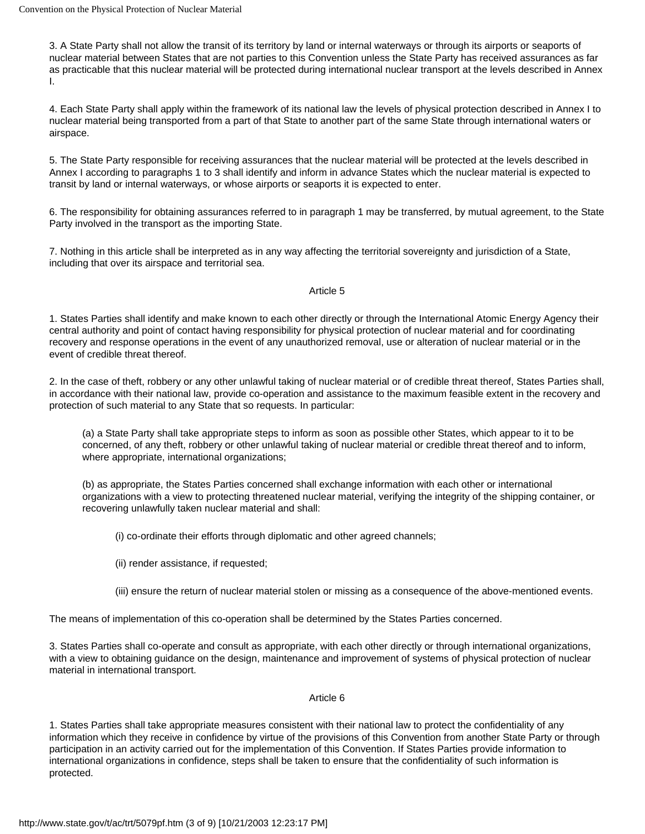3. A State Party shall not allow the transit of its territory by land or internal waterways or through its airports or seaports of nuclear material between States that are not parties to this Convention unless the State Party has received assurances as far as practicable that this nuclear material will be protected during international nuclear transport at the levels described in Annex I.

4. Each State Party shall apply within the framework of its national law the levels of physical protection described in Annex I to nuclear material being transported from a part of that State to another part of the same State through international waters or airspace.

5. The State Party responsible for receiving assurances that the nuclear material will be protected at the levels described in Annex I according to paragraphs 1 to 3 shall identify and inform in advance States which the nuclear material is expected to transit by land or internal waterways, or whose airports or seaports it is expected to enter.

6. The responsibility for obtaining assurances referred to in paragraph 1 may be transferred, by mutual agreement, to the State Party involved in the transport as the importing State.

7. Nothing in this article shall be interpreted as in any way affecting the territorial sovereignty and jurisdiction of a State, including that over its airspace and territorial sea.

### Article 5

1. States Parties shall identify and make known to each other directly or through the International Atomic Energy Agency their central authority and point of contact having responsibility for physical protection of nuclear material and for coordinating recovery and response operations in the event of any unauthorized removal, use or alteration of nuclear material or in the event of credible threat thereof.

2. In the case of theft, robbery or any other unlawful taking of nuclear material or of credible threat thereof, States Parties shall, in accordance with their national law, provide co-operation and assistance to the maximum feasible extent in the recovery and protection of such material to any State that so requests. In particular:

(a) a State Party shall take appropriate steps to inform as soon as possible other States, which appear to it to be concerned, of any theft, robbery or other unlawful taking of nuclear material or credible threat thereof and to inform, where appropriate, international organizations;

(b) as appropriate, the States Parties concerned shall exchange information with each other or international organizations with a view to protecting threatened nuclear material, verifying the integrity of the shipping container, or recovering unlawfully taken nuclear material and shall:

(i) co-ordinate their efforts through diplomatic and other agreed channels;

- (ii) render assistance, if requested;
- (iii) ensure the return of nuclear material stolen or missing as a consequence of the above-mentioned events.

The means of implementation of this co-operation shall be determined by the States Parties concerned.

3. States Parties shall co-operate and consult as appropriate, with each other directly or through international organizations, with a view to obtaining guidance on the design, maintenance and improvement of systems of physical protection of nuclear material in international transport.

## Article 6

1. States Parties shall take appropriate measures consistent with their national law to protect the confidentiality of any information which they receive in confidence by virtue of the provisions of this Convention from another State Party or through participation in an activity carried out for the implementation of this Convention. If States Parties provide information to international organizations in confidence, steps shall be taken to ensure that the confidentiality of such information is protected.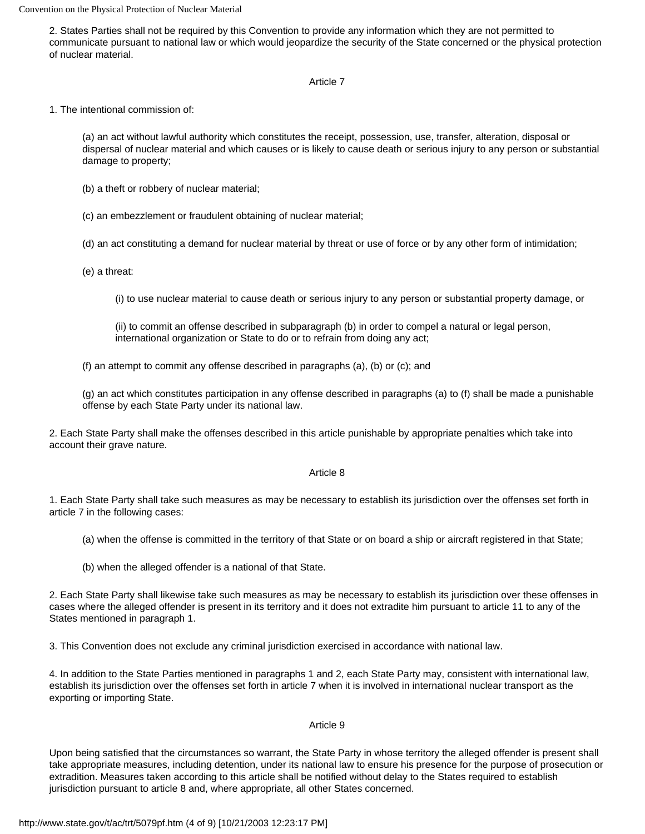2. States Parties shall not be required by this Convention to provide any information which they are not permitted to communicate pursuant to national law or which would jeopardize the security of the State concerned or the physical protection of nuclear material.

#### Article 7

1. The intentional commission of:

(a) an act without lawful authority which constitutes the receipt, possession, use, transfer, alteration, disposal or dispersal of nuclear material and which causes or is likely to cause death or serious injury to any person or substantial damage to property;

(b) a theft or robbery of nuclear material;

(c) an embezzlement or fraudulent obtaining of nuclear material;

(d) an act constituting a demand for nuclear material by threat or use of force or by any other form of intimidation;

(e) a threat:

(i) to use nuclear material to cause death or serious injury to any person or substantial property damage, or

(ii) to commit an offense described in subparagraph (b) in order to compel a natural or legal person, international organization or State to do or to refrain from doing any act;

(f) an attempt to commit any offense described in paragraphs (a), (b) or (c); and

(g) an act which constitutes participation in any offense described in paragraphs (a) to (f) shall be made a punishable offense by each State Party under its national law.

2. Each State Party shall make the offenses described in this article punishable by appropriate penalties which take into account their grave nature.

#### Article 8

1. Each State Party shall take such measures as may be necessary to establish its jurisdiction over the offenses set forth in article 7 in the following cases:

(a) when the offense is committed in the territory of that State or on board a ship or aircraft registered in that State;

(b) when the alleged offender is a national of that State.

2. Each State Party shall likewise take such measures as may be necessary to establish its jurisdiction over these offenses in cases where the alleged offender is present in its territory and it does not extradite him pursuant to article 11 to any of the States mentioned in paragraph 1.

3. This Convention does not exclude any criminal jurisdiction exercised in accordance with national law.

4. In addition to the State Parties mentioned in paragraphs 1 and 2, each State Party may, consistent with international law, establish its jurisdiction over the offenses set forth in article 7 when it is involved in international nuclear transport as the exporting or importing State.

#### Article 9

Upon being satisfied that the circumstances so warrant, the State Party in whose territory the alleged offender is present shall take appropriate measures, including detention, under its national law to ensure his presence for the purpose of prosecution or extradition. Measures taken according to this article shall be notified without delay to the States required to establish jurisdiction pursuant to article 8 and, where appropriate, all other States concerned.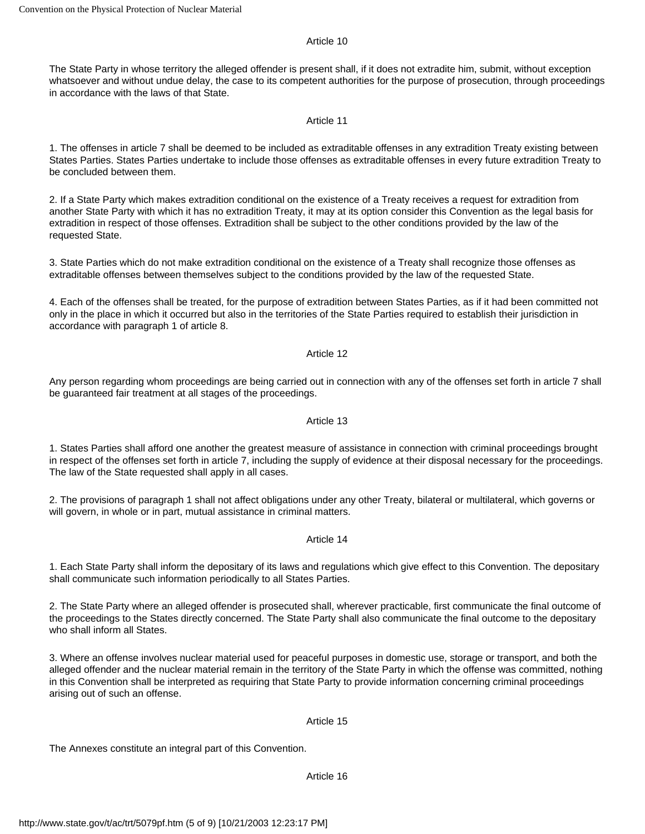#### Article 10

The State Party in whose territory the alleged offender is present shall, if it does not extradite him, submit, without exception whatsoever and without undue delay, the case to its competent authorities for the purpose of prosecution, through proceedings in accordance with the laws of that State.

#### Article 11

1. The offenses in article 7 shall be deemed to be included as extraditable offenses in any extradition Treaty existing between States Parties. States Parties undertake to include those offenses as extraditable offenses in every future extradition Treaty to be concluded between them.

2. If a State Party which makes extradition conditional on the existence of a Treaty receives a request for extradition from another State Party with which it has no extradition Treaty, it may at its option consider this Convention as the legal basis for extradition in respect of those offenses. Extradition shall be subject to the other conditions provided by the law of the requested State.

3. State Parties which do not make extradition conditional on the existence of a Treaty shall recognize those offenses as extraditable offenses between themselves subject to the conditions provided by the law of the requested State.

4. Each of the offenses shall be treated, for the purpose of extradition between States Parties, as if it had been committed not only in the place in which it occurred but also in the territories of the State Parties required to establish their jurisdiction in accordance with paragraph 1 of article 8.

#### Article 12

Any person regarding whom proceedings are being carried out in connection with any of the offenses set forth in article 7 shall be guaranteed fair treatment at all stages of the proceedings.

### Article 13

1. States Parties shall afford one another the greatest measure of assistance in connection with criminal proceedings brought in respect of the offenses set forth in article 7, including the supply of evidence at their disposal necessary for the proceedings. The law of the State requested shall apply in all cases.

2. The provisions of paragraph 1 shall not affect obligations under any other Treaty, bilateral or multilateral, which governs or will govern, in whole or in part, mutual assistance in criminal matters.

### Article 14

1. Each State Party shall inform the depositary of its laws and regulations which give effect to this Convention. The depositary shall communicate such information periodically to all States Parties.

2. The State Party where an alleged offender is prosecuted shall, wherever practicable, first communicate the final outcome of the proceedings to the States directly concerned. The State Party shall also communicate the final outcome to the depositary who shall inform all States.

3. Where an offense involves nuclear material used for peaceful purposes in domestic use, storage or transport, and both the alleged offender and the nuclear material remain in the territory of the State Party in which the offense was committed, nothing in this Convention shall be interpreted as requiring that State Party to provide information concerning criminal proceedings arising out of such an offense.

#### Article 15

The Annexes constitute an integral part of this Convention.

Article 16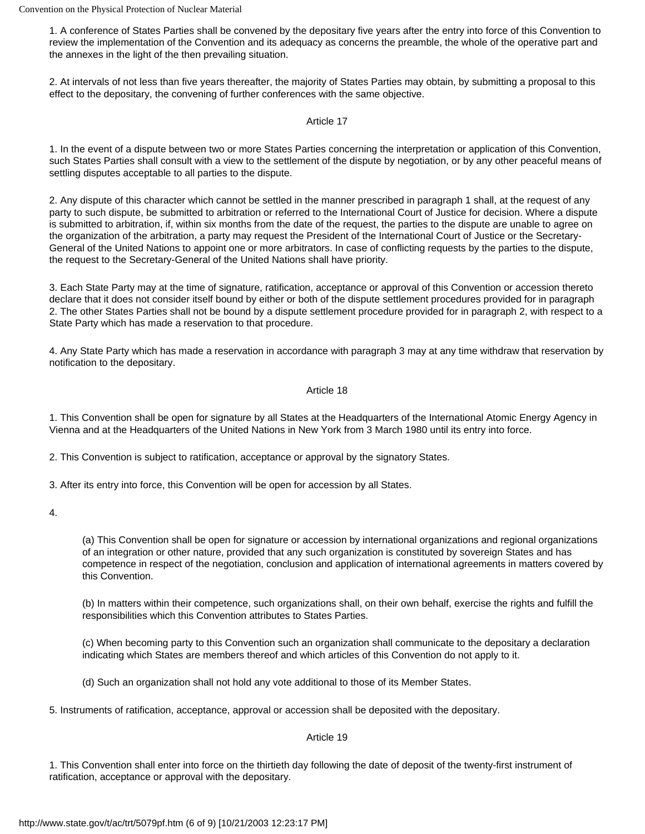1. A conference of States Parties shall be convened by the depositary five years after the entry into force of this Convention to review the implementation of the Convention and its adequacy as concerns the preamble, the whole of the operative part and the annexes in the light of the then prevailing situation.

2. At intervals of not less than five years thereafter, the majority of States Parties may obtain, by submitting a proposal to this effect to the depositary, the convening of further conferences with the same objective.

#### Article 17

1. In the event of a dispute between two or more States Parties concerning the interpretation or application of this Convention, such States Parties shall consult with a view to the settlement of the dispute by negotiation, or by any other peaceful means of settling disputes acceptable to all parties to the dispute.

2. Any dispute of this character which cannot be settled in the manner prescribed in paragraph 1 shall, at the request of any party to such dispute, be submitted to arbitration or referred to the International Court of Justice for decision. Where a dispute is submitted to arbitration, if, within six months from the date of the request, the parties to the dispute are unable to agree on the organization of the arbitration, a party may request the President of the International Court of Justice or the Secretary-General of the United Nations to appoint one or more arbitrators. In case of conflicting requests by the parties to the dispute, the request to the Secretary-General of the United Nations shall have priority.

3. Each State Party may at the time of signature, ratification, acceptance or approval of this Convention or accession thereto declare that it does not consider itself bound by either or both of the dispute settlement procedures provided for in paragraph 2. The other States Parties shall not be bound by a dispute settlement procedure provided for in paragraph 2, with respect to a State Party which has made a reservation to that procedure.

4. Any State Party which has made a reservation in accordance with paragraph 3 may at any time withdraw that reservation by notification to the depositary.

#### Article 18

1. This Convention shall be open for signature by all States at the Headquarters of the International Atomic Energy Agency in Vienna and at the Headquarters of the United Nations in New York from 3 March 1980 until its entry into force.

2. This Convention is subject to ratification, acceptance or approval by the signatory States.

3. After its entry into force, this Convention will be open for accession by all States.

4.

(a) This Convention shall be open for signature or accession by international organizations and regional organizations of an integration or other nature, provided that any such organization is constituted by sovereign States and has competence in respect of the negotiation, conclusion and application of international agreements in matters covered by this Convention.

(b) In matters within their competence, such organizations shall, on their own behalf, exercise the rights and fulfill the responsibilities which this Convention attributes to States Parties.

(c) When becoming party to this Convention such an organization shall communicate to the depositary a declaration indicating which States are members thereof and which articles of this Convention do not apply to it.

(d) Such an organization shall not hold any vote additional to those of its Member States.

5. Instruments of ratification, acceptance, approval or accession shall be deposited with the depositary.

#### Article 19

1. This Convention shall enter into force on the thirtieth day following the date of deposit of the twenty-first instrument of ratification, acceptance or approval with the depositary.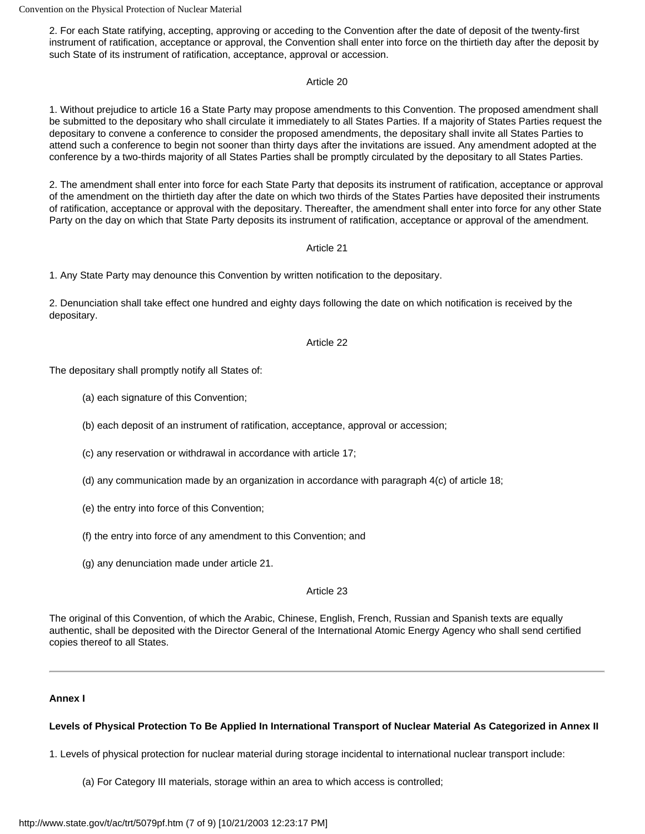2. For each State ratifying, accepting, approving or acceding to the Convention after the date of deposit of the twenty-first instrument of ratification, acceptance or approval, the Convention shall enter into force on the thirtieth day after the deposit by such State of its instrument of ratification, acceptance, approval or accession.

### Article 20

1. Without prejudice to article 16 a State Party may propose amendments to this Convention. The proposed amendment shall be submitted to the depositary who shall circulate it immediately to all States Parties. If a majority of States Parties request the depositary to convene a conference to consider the proposed amendments, the depositary shall invite all States Parties to attend such a conference to begin not sooner than thirty days after the invitations are issued. Any amendment adopted at the conference by a two-thirds majority of all States Parties shall be promptly circulated by the depositary to all States Parties.

2. The amendment shall enter into force for each State Party that deposits its instrument of ratification, acceptance or approval of the amendment on the thirtieth day after the date on which two thirds of the States Parties have deposited their instruments of ratification, acceptance or approval with the depositary. Thereafter, the amendment shall enter into force for any other State Party on the day on which that State Party deposits its instrument of ratification, acceptance or approval of the amendment.

#### Article 21

1. Any State Party may denounce this Convention by written notification to the depositary.

2. Denunciation shall take effect one hundred and eighty days following the date on which notification is received by the depositary.

#### Article 22

The depositary shall promptly notify all States of:

- (a) each signature of this Convention;
- (b) each deposit of an instrument of ratification, acceptance, approval or accession;
- (c) any reservation or withdrawal in accordance with article 17;
- (d) any communication made by an organization in accordance with paragraph 4(c) of article 18;
- (e) the entry into force of this Convention;
- (f) the entry into force of any amendment to this Convention; and
- (g) any denunciation made under article 21.

## Article 23

The original of this Convention, of which the Arabic, Chinese, English, French, Russian and Spanish texts are equally authentic, shall be deposited with the Director General of the International Atomic Energy Agency who shall send certified copies thereof to all States.

## **Annex I**

## **Levels of Physical Protection To Be Applied In International Transport of Nuclear Material As Categorized in Annex II**

1. Levels of physical protection for nuclear material during storage incidental to international nuclear transport include:

(a) For Category III materials, storage within an area to which access is controlled;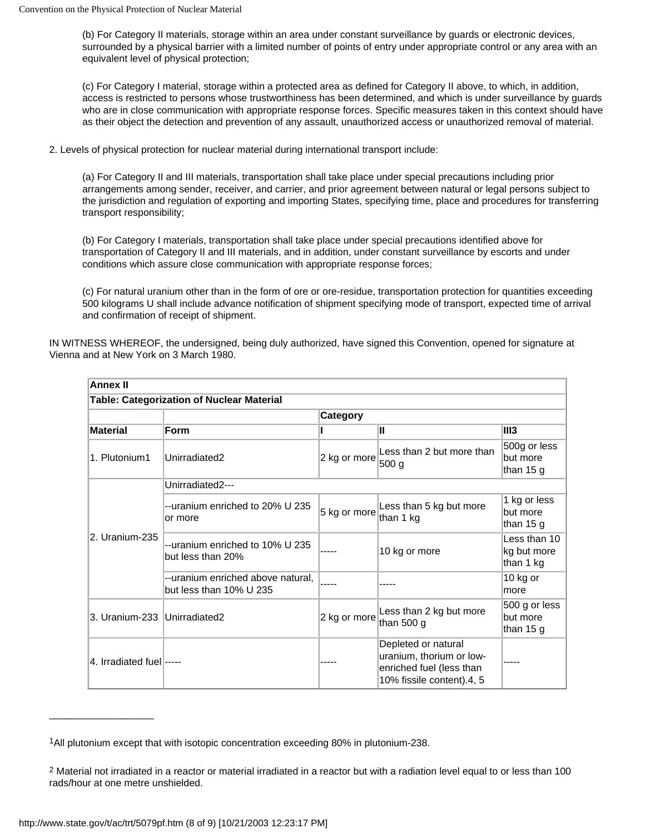(b) For Category II materials, storage within an area under constant surveillance by guards or electronic devices, surrounded by a physical barrier with a limited number of points of entry under appropriate control or any area with an equivalent level of physical protection;

(c) For Category I material, storage within a protected area as defined for Category II above, to which, in addition, access is restricted to persons whose trustworthiness has been determined, and which is under surveillance by guards who are in close communication with appropriate response forces. Specific measures taken in this context should have as their object the detection and prevention of any assault, unauthorized access or unauthorized removal of material.

2. Levels of physical protection for nuclear material during international transport include:

(a) For Category II and III materials, transportation shall take place under special precautions including prior arrangements among sender, receiver, and carrier, and prior agreement between natural or legal persons subject to the jurisdiction and regulation of exporting and importing States, specifying time, place and procedures for transferring transport responsibility;

(b) For Category I materials, transportation shall take place under special precautions identified above for transportation of Category II and III materials, and in addition, under constant surveillance by escorts and under conditions which assure close communication with appropriate response forces;

(c) For natural uranium other than in the form of ore or ore-residue, transportation protection for quantities exceeding 500 kilograms U shall include advance notification of shipment specifying mode of transport, expected time of arrival and confirmation of receipt of shipment.

IN WITNESS WHEREOF, the undersigned, being duly authorized, have signed this Convention, opened for signature at Vienna and at New York on 3 March 1980.

| <b>Annex II</b>                                  |                                                              |              |                                                                                                          |                                          |
|--------------------------------------------------|--------------------------------------------------------------|--------------|----------------------------------------------------------------------------------------------------------|------------------------------------------|
| <b>Table: Categorization of Nuclear Material</b> |                                                              |              |                                                                                                          |                                          |
|                                                  |                                                              | Category     |                                                                                                          |                                          |
| <b>Material</b>                                  | <b>Form</b>                                                  |              | Ш                                                                                                        | III3                                     |
| 1. Plutonium1                                    | Unirradiated2                                                | 2 kg or more | Less than 2 but more than<br>500 <sub>g</sub>                                                            | 500g or less<br>but more<br>than 15 g    |
| 2. Uranium-235                                   | Unirradiated2---                                             |              |                                                                                                          |                                          |
|                                                  | --uranium enriched to 20% U 235<br>or more                   | 5 kg or more | Less than 5 kg but more<br>than 1 kg                                                                     | 1 kg or less<br>but more<br>than 15 g    |
|                                                  | --uranium enriched to 10% U 235<br>but less than 20%         |              | 10 kg or more                                                                                            | Less than 10<br>kg but more<br>than 1 kg |
|                                                  | --uranium enriched above natural,<br>but less than 10% U 235 |              |                                                                                                          | 10 kg or<br>more                         |
| 3. Uranium-233 Unirradiated2                     |                                                              | 2 kg or more | Less than 2 kg but more<br>than 500 g                                                                    | 500 g or less<br>but more<br>than 15 g   |
| 4. Irradiated fuel -----                         |                                                              | -----        | Depleted or natural<br>uranium, thorium or low-<br>enriched fuel (less than<br>10% fissile content).4, 5 | -----                                    |

\_\_\_\_\_\_\_\_\_\_\_\_\_\_\_\_\_\_\_

<sup>1</sup>All plutonium except that with isotopic concentration exceeding 80% in plutonium-238.

<sup>2</sup> Material not irradiated in a reactor or material irradiated in a reactor but with a radiation level equal to or less than 100 rads/hour at one metre unshielded.